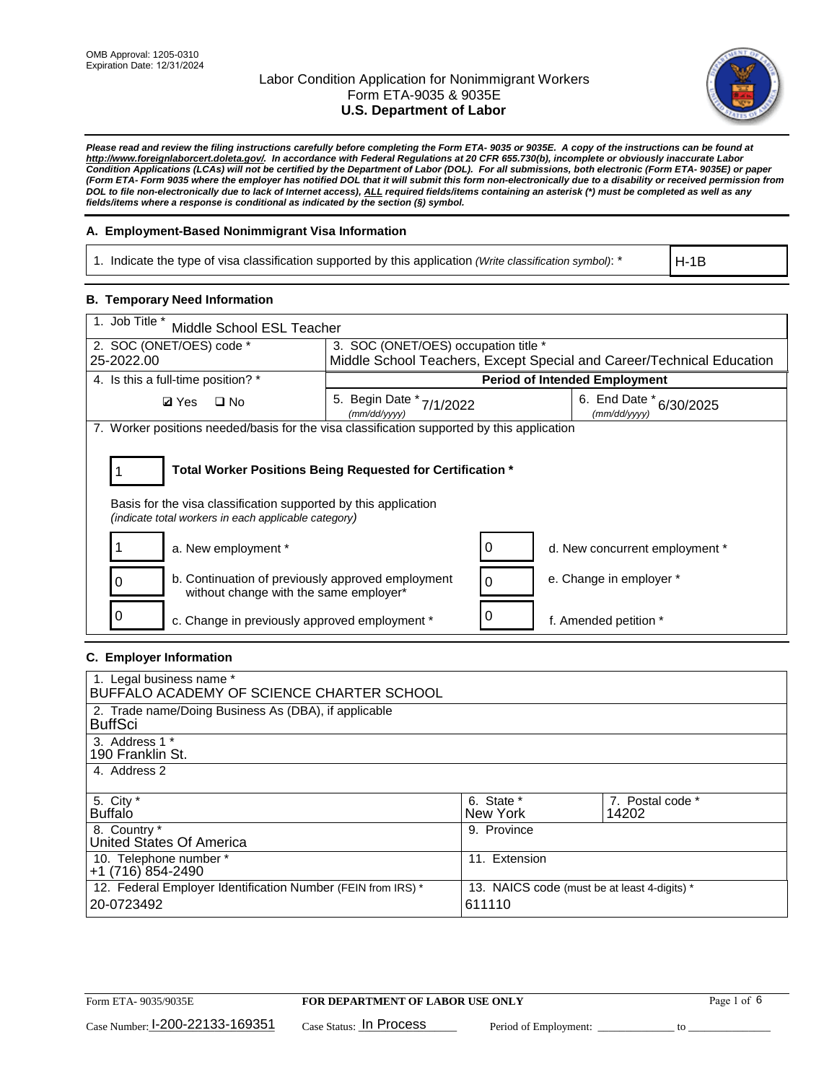

*Please read and review the filing instructions carefully before completing the Form ETA- 9035 or 9035E. A copy of the instructions can be found at [http://www.foreignlaborcert.doleta.gov/.](http://www.foreignlaborcert.doleta.gov/) In accordance with Federal Regulations at 20 CFR 655.730(b), incomplete or obviously inaccurate Labor Condition Applications (LCAs) will not be certified by the Department of Labor (DOL). For all submissions, both electronic (Form ETA- 9035E) or paper (Form ETA- Form 9035 where the employer has notified DOL that it will submit this form non-electronically due to a disability or received permission from DOL to file non-electronically due to lack of Internet access), ALL required fields/items containing an asterisk (\*) must be completed as well as any fields/items where a response is conditional as indicated by the section (§) symbol.* 

### **A. Employment-Based Nonimmigrant Visa Information**

1. Indicate the type of visa classification supported by this application *(Write classification symbol)*: \*

H-1B

### **B. Temporary Need Information**

| 1. Job Title *<br>Middle School ESL Teacher                                                                                                                                           |                                          |                                      |                                                                       |  |  |  |
|---------------------------------------------------------------------------------------------------------------------------------------------------------------------------------------|------------------------------------------|--------------------------------------|-----------------------------------------------------------------------|--|--|--|
| 2. SOC (ONET/OES) code *                                                                                                                                                              | 3. SOC (ONET/OES) occupation title *     |                                      |                                                                       |  |  |  |
| 25-2022.00                                                                                                                                                                            |                                          |                                      | Middle School Teachers, Except Special and Career/Technical Education |  |  |  |
| 4. Is this a full-time position? *                                                                                                                                                    |                                          | <b>Period of Intended Employment</b> |                                                                       |  |  |  |
| <b>Ø</b> Yes<br>$\square$ No                                                                                                                                                          | 5. Begin Date * 7/1/2022<br>(mm/dd/vvvv) |                                      | 6. End Date $*_{6/30/2025}$<br>(mm/dd/yyyy)                           |  |  |  |
| 7. Worker positions needed/basis for the visa classification supported by this application                                                                                            |                                          |                                      |                                                                       |  |  |  |
| Total Worker Positions Being Requested for Certification *<br>Basis for the visa classification supported by this application<br>(indicate total workers in each applicable category) |                                          |                                      |                                                                       |  |  |  |
| a. New employment *                                                                                                                                                                   |                                          | 0                                    | d. New concurrent employment *                                        |  |  |  |
| b. Continuation of previously approved employment<br>0<br>without change with the same employer*                                                                                      |                                          | $\Omega$                             | e. Change in employer *                                               |  |  |  |
| c. Change in previously approved employment *                                                                                                                                         |                                          | U                                    | f. Amended petition *                                                 |  |  |  |

### **C. Employer Information**

| 1. Legal business name *                                                                                     |               |                  |  |  |  |
|--------------------------------------------------------------------------------------------------------------|---------------|------------------|--|--|--|
| BUFFALO ACADEMY OF SCIENCE CHARTER SCHOOL                                                                    |               |                  |  |  |  |
| 2. Trade name/Doing Business As (DBA), if applicable                                                         |               |                  |  |  |  |
| <b>BuffSci</b>                                                                                               |               |                  |  |  |  |
| 3. Address 1 *                                                                                               |               |                  |  |  |  |
| 190 Franklin St.                                                                                             |               |                  |  |  |  |
| 4. Address 2                                                                                                 |               |                  |  |  |  |
|                                                                                                              |               |                  |  |  |  |
| 5. City *                                                                                                    | 6. State *    | 7. Postal code * |  |  |  |
| <b>Buffalo</b>                                                                                               | New York      | 14202            |  |  |  |
| 8. Country *                                                                                                 | 9. Province   |                  |  |  |  |
| United States Of America                                                                                     |               |                  |  |  |  |
| 10. Telephone number *                                                                                       | 11. Extension |                  |  |  |  |
| $+1(716)854-2490$                                                                                            |               |                  |  |  |  |
| 12. Federal Employer Identification Number (FEIN from IRS) *<br>13. NAICS code (must be at least 4-digits) * |               |                  |  |  |  |
| 20-0723492                                                                                                   | 611110        |                  |  |  |  |
|                                                                                                              |               |                  |  |  |  |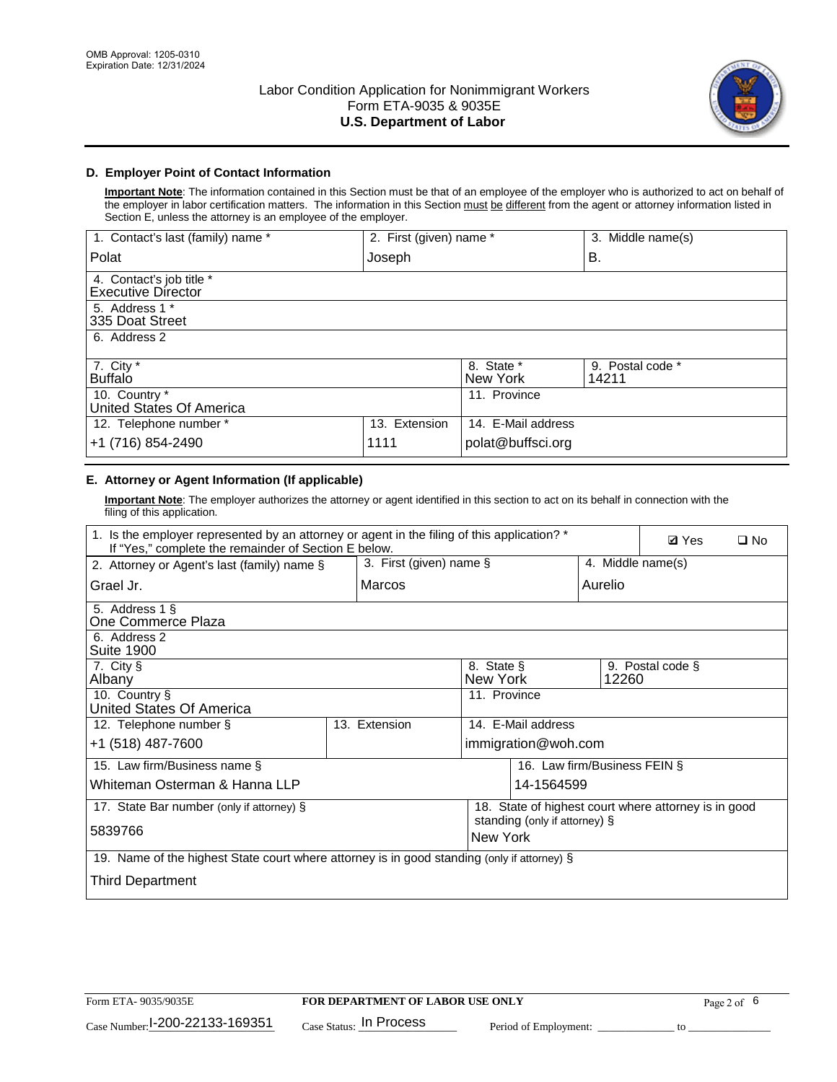

### **D. Employer Point of Contact Information**

**Important Note**: The information contained in this Section must be that of an employee of the employer who is authorized to act on behalf of the employer in labor certification matters. The information in this Section must be different from the agent or attorney information listed in Section E, unless the attorney is an employee of the employer.

| 1. Contact's last (family) name *                     | 2. First (given) name * |                        | 3. Middle name(s)         |
|-------------------------------------------------------|-------------------------|------------------------|---------------------------|
| Polat                                                 | Joseph                  |                        | В.                        |
| 4. Contact's job title *<br><b>Executive Director</b> |                         |                        |                           |
| 5. Address 1 *<br>335 Doat Street                     |                         |                        |                           |
| 6. Address 2                                          |                         |                        |                           |
| 7. City $*$<br><b>Buffalo</b>                         |                         | 8. State *<br>New York | 9. Postal code *<br>14211 |
| 10. Country *<br>United States Of America             |                         | 11. Province           |                           |
| 12. Telephone number *                                | 13. Extension           | 14. E-Mail address     |                           |
| +1 (716) 854-2490                                     | 1111                    | polat@buffsci.org      |                           |

## **E. Attorney or Agent Information (If applicable)**

**Important Note**: The employer authorizes the attorney or agent identified in this section to act on its behalf in connection with the filing of this application.

| 1. Is the employer represented by an attorney or agent in the filing of this application? *<br>If "Yes," complete the remainder of Section E below. | <b>Ø</b> Yes<br>$\square$ No              |                    |                              |                   |  |  |
|-----------------------------------------------------------------------------------------------------------------------------------------------------|-------------------------------------------|--------------------|------------------------------|-------------------|--|--|
| 3. First (given) name §<br>2. Attorney or Agent's last (family) name §                                                                              |                                           |                    |                              | 4. Middle name(s) |  |  |
| Grael Jr.                                                                                                                                           | Marcos                                    |                    | Aurelio                      |                   |  |  |
| 5. Address 1 §<br>One Commerce Plaza                                                                                                                |                                           |                    |                              |                   |  |  |
| 6. Address 2<br><b>Suite 1900</b>                                                                                                                   |                                           |                    |                              |                   |  |  |
| 7. City §<br>8. State §<br>9. Postal code §<br>Albany<br>New York<br>12260                                                                          |                                           |                    |                              |                   |  |  |
| 10. Country §<br>United States Of America                                                                                                           |                                           | 11. Province       |                              |                   |  |  |
| 12. Telephone number §                                                                                                                              | 13. Extension                             | 14. E-Mail address |                              |                   |  |  |
| +1 (518) 487-7600                                                                                                                                   |                                           |                    | immigration@woh.com          |                   |  |  |
| 15. Law firm/Business name §                                                                                                                        |                                           |                    | 16. Law firm/Business FEIN § |                   |  |  |
| Whiteman Osterman & Hanna LLP<br>14-1564599                                                                                                         |                                           |                    |                              |                   |  |  |
| 18. State of highest court where attorney is in good<br>17. State Bar number (only if attorney) §                                                   |                                           |                    |                              |                   |  |  |
| 5839766                                                                                                                                             | standing (only if attorney) §<br>New York |                    |                              |                   |  |  |
| 19. Name of the highest State court where attorney is in good standing (only if attorney) §                                                         |                                           |                    |                              |                   |  |  |
| Third Department                                                                                                                                    |                                           |                    |                              |                   |  |  |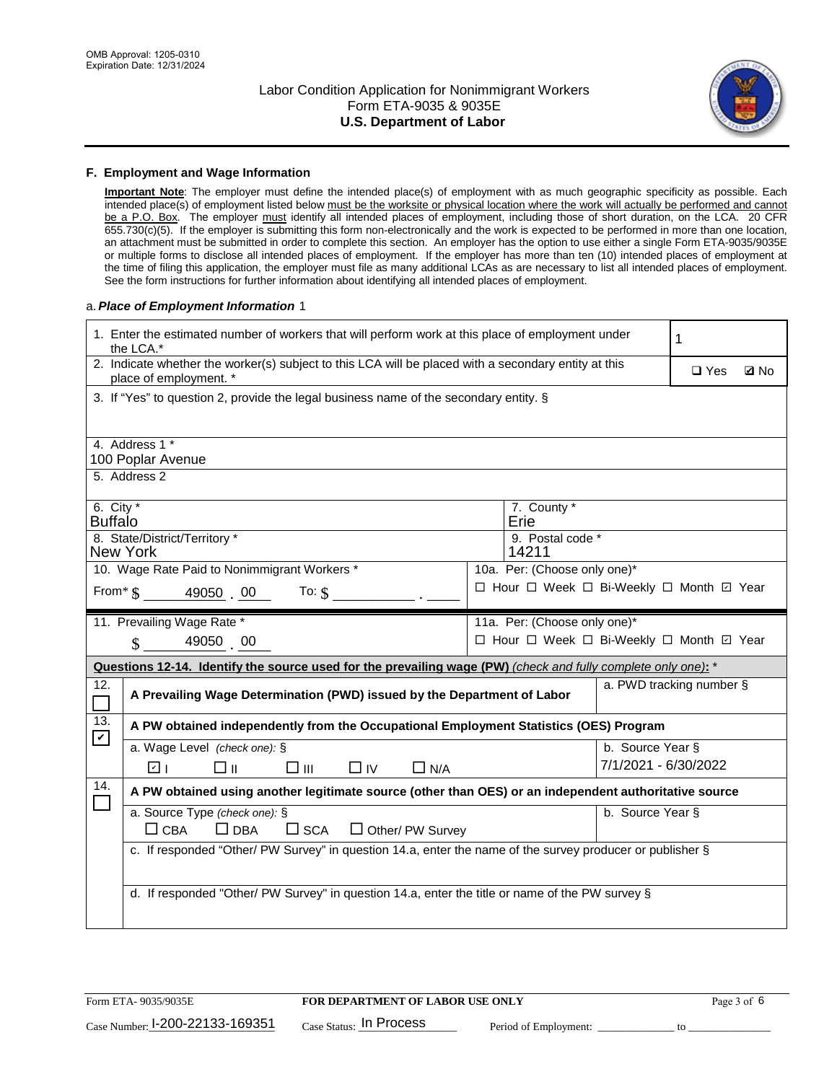

#### **F. Employment and Wage Information**

**Important Note**: The employer must define the intended place(s) of employment with as much geographic specificity as possible. Each intended place(s) of employment listed below must be the worksite or physical location where the work will actually be performed and cannot be a P.O. Box. The employer must identify all intended places of employment, including those of short duration, on the LCA. 20 CFR 655.730(c)(5). If the employer is submitting this form non-electronically and the work is expected to be performed in more than one location, an attachment must be submitted in order to complete this section. An employer has the option to use either a single Form ETA-9035/9035E or multiple forms to disclose all intended places of employment. If the employer has more than ten (10) intended places of employment at the time of filing this application, the employer must file as many additional LCAs as are necessary to list all intended places of employment. See the form instructions for further information about identifying all intended places of employment.

#### a.*Place of Employment Information* 1

| 2. Indicate whether the worker(s) subject to this LCA will be placed with a secondary entity at this<br>$\Box$ Yes<br><b>Z</b> No<br>place of employment. *<br>3. If "Yes" to question 2, provide the legal business name of the secondary entity. §<br>4. Address 1 *<br>100 Poplar Avenue<br>5. Address 2 |  |  |  |  |  |  |  |
|-------------------------------------------------------------------------------------------------------------------------------------------------------------------------------------------------------------------------------------------------------------------------------------------------------------|--|--|--|--|--|--|--|
|                                                                                                                                                                                                                                                                                                             |  |  |  |  |  |  |  |
|                                                                                                                                                                                                                                                                                                             |  |  |  |  |  |  |  |
|                                                                                                                                                                                                                                                                                                             |  |  |  |  |  |  |  |
|                                                                                                                                                                                                                                                                                                             |  |  |  |  |  |  |  |
|                                                                                                                                                                                                                                                                                                             |  |  |  |  |  |  |  |
| 6. City $*$<br>7. County *<br>Erie<br><b>Buffalo</b>                                                                                                                                                                                                                                                        |  |  |  |  |  |  |  |
| 8. State/District/Territory *<br>9. Postal code *                                                                                                                                                                                                                                                           |  |  |  |  |  |  |  |
| <b>New York</b><br>14211                                                                                                                                                                                                                                                                                    |  |  |  |  |  |  |  |
| 10. Wage Rate Paid to Nonimmigrant Workers *<br>10a. Per: (Choose only one)*                                                                                                                                                                                                                                |  |  |  |  |  |  |  |
| □ Hour □ Week □ Bi-Weekly □ Month ☑ Year<br>From $\$$ 49050 00<br>To: $\mathcal{S}$                                                                                                                                                                                                                         |  |  |  |  |  |  |  |
| 11. Prevailing Wage Rate *<br>11a. Per: (Choose only one)*                                                                                                                                                                                                                                                  |  |  |  |  |  |  |  |
| □ Hour □ Week □ Bi-Weekly □ Month ☑ Year<br>49050 00<br>$\mathcal{S}$                                                                                                                                                                                                                                       |  |  |  |  |  |  |  |
| Questions 12-14. Identify the source used for the prevailing wage (PW) (check and fully complete only one): *                                                                                                                                                                                               |  |  |  |  |  |  |  |
| a. PWD tracking number §<br>12.<br>A Prevailing Wage Determination (PWD) issued by the Department of Labor                                                                                                                                                                                                  |  |  |  |  |  |  |  |
| 13.<br>A PW obtained independently from the Occupational Employment Statistics (OES) Program<br>$\mathbf v$                                                                                                                                                                                                 |  |  |  |  |  |  |  |
| a. Wage Level (check one): §<br>b. Source Year §                                                                                                                                                                                                                                                            |  |  |  |  |  |  |  |
| 7/1/2021 - 6/30/2022<br>☑ ⊧<br>□⊪<br>$\Box$ IV<br>□Ⅲ<br>$\Box$ N/A                                                                                                                                                                                                                                          |  |  |  |  |  |  |  |
| 14.<br>A PW obtained using another legitimate source (other than OES) or an independent authoritative source                                                                                                                                                                                                |  |  |  |  |  |  |  |
| a. Source Type (check one): §<br>b. Source Year §                                                                                                                                                                                                                                                           |  |  |  |  |  |  |  |
| $\Box$ CBA<br>$\Box$ DBA<br>$\square$ SCA<br>Other/ PW Survey                                                                                                                                                                                                                                               |  |  |  |  |  |  |  |
| c. If responded "Other/ PW Survey" in question 14.a, enter the name of the survey producer or publisher §                                                                                                                                                                                                   |  |  |  |  |  |  |  |
|                                                                                                                                                                                                                                                                                                             |  |  |  |  |  |  |  |
|                                                                                                                                                                                                                                                                                                             |  |  |  |  |  |  |  |
| d. If responded "Other/ PW Survey" in question 14.a, enter the title or name of the PW survey §                                                                                                                                                                                                             |  |  |  |  |  |  |  |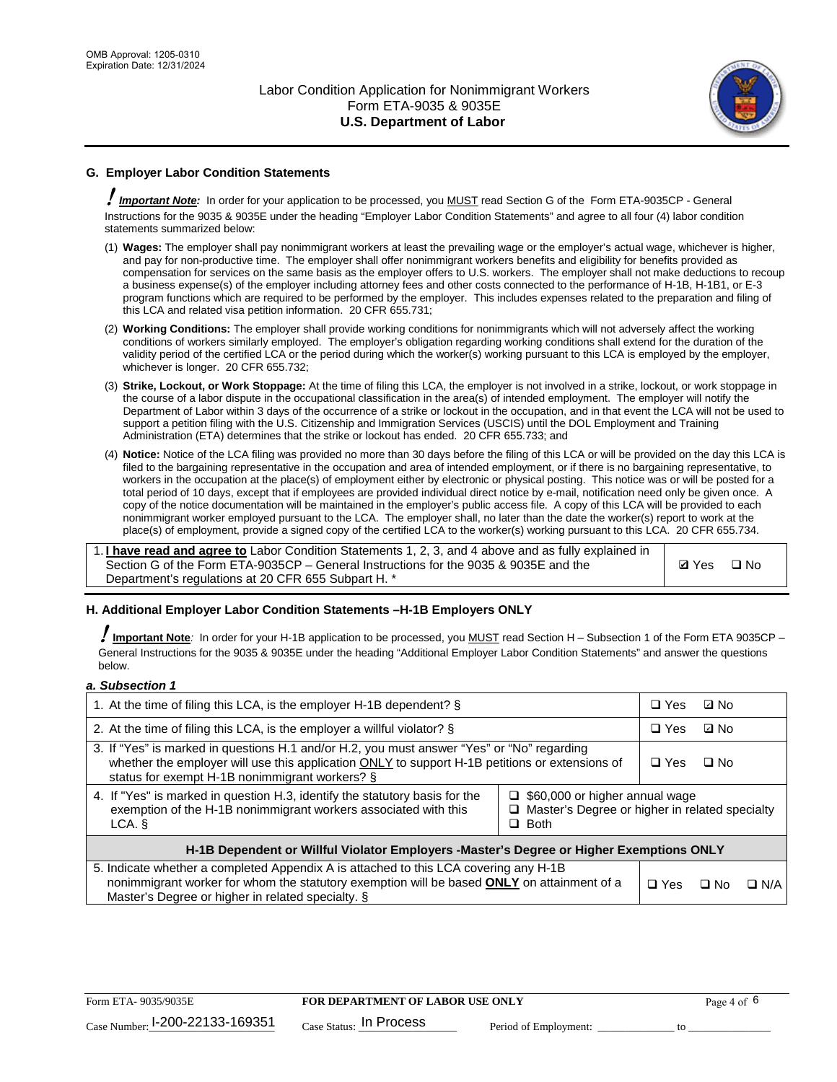

## **G. Employer Labor Condition Statements**

! *Important Note:* In order for your application to be processed, you MUST read Section G of the Form ETA-9035CP - General Instructions for the 9035 & 9035E under the heading "Employer Labor Condition Statements" and agree to all four (4) labor condition statements summarized below:

- (1) **Wages:** The employer shall pay nonimmigrant workers at least the prevailing wage or the employer's actual wage, whichever is higher, and pay for non-productive time. The employer shall offer nonimmigrant workers benefits and eligibility for benefits provided as compensation for services on the same basis as the employer offers to U.S. workers. The employer shall not make deductions to recoup a business expense(s) of the employer including attorney fees and other costs connected to the performance of H-1B, H-1B1, or E-3 program functions which are required to be performed by the employer. This includes expenses related to the preparation and filing of this LCA and related visa petition information. 20 CFR 655.731;
- (2) **Working Conditions:** The employer shall provide working conditions for nonimmigrants which will not adversely affect the working conditions of workers similarly employed. The employer's obligation regarding working conditions shall extend for the duration of the validity period of the certified LCA or the period during which the worker(s) working pursuant to this LCA is employed by the employer, whichever is longer. 20 CFR 655.732;
- (3) **Strike, Lockout, or Work Stoppage:** At the time of filing this LCA, the employer is not involved in a strike, lockout, or work stoppage in the course of a labor dispute in the occupational classification in the area(s) of intended employment. The employer will notify the Department of Labor within 3 days of the occurrence of a strike or lockout in the occupation, and in that event the LCA will not be used to support a petition filing with the U.S. Citizenship and Immigration Services (USCIS) until the DOL Employment and Training Administration (ETA) determines that the strike or lockout has ended. 20 CFR 655.733; and
- (4) **Notice:** Notice of the LCA filing was provided no more than 30 days before the filing of this LCA or will be provided on the day this LCA is filed to the bargaining representative in the occupation and area of intended employment, or if there is no bargaining representative, to workers in the occupation at the place(s) of employment either by electronic or physical posting. This notice was or will be posted for a total period of 10 days, except that if employees are provided individual direct notice by e-mail, notification need only be given once. A copy of the notice documentation will be maintained in the employer's public access file. A copy of this LCA will be provided to each nonimmigrant worker employed pursuant to the LCA. The employer shall, no later than the date the worker(s) report to work at the place(s) of employment, provide a signed copy of the certified LCA to the worker(s) working pursuant to this LCA. 20 CFR 655.734.

1. **I have read and agree to** Labor Condition Statements 1, 2, 3, and 4 above and as fully explained in Section G of the Form ETA-9035CP – General Instructions for the 9035 & 9035E and the Department's regulations at 20 CFR 655 Subpart H. \*

**Ø**Yes ロNo

### **H. Additional Employer Labor Condition Statements –H-1B Employers ONLY**

!**Important Note***:* In order for your H-1B application to be processed, you MUST read Section H – Subsection 1 of the Form ETA 9035CP – General Instructions for the 9035 & 9035E under the heading "Additional Employer Labor Condition Statements" and answer the questions below.

#### *a. Subsection 1*

| 1. At the time of filing this LCA, is the employer H-1B dependent? §                                                                                                                                                                                                 |            |      | ⊡ No       |  |
|----------------------------------------------------------------------------------------------------------------------------------------------------------------------------------------------------------------------------------------------------------------------|------------|------|------------|--|
| 2. At the time of filing this LCA, is the employer a willful violator? $\S$                                                                                                                                                                                          |            |      | ⊡ No       |  |
| 3. If "Yes" is marked in questions H.1 and/or H.2, you must answer "Yes" or "No" regarding<br>whether the employer will use this application ONLY to support H-1B petitions or extensions of<br>status for exempt H-1B nonimmigrant workers? §                       |            |      | ∩ No       |  |
| 4. If "Yes" is marked in question H.3, identify the statutory basis for the<br>$\Box$ \$60,000 or higher annual wage<br>exemption of the H-1B nonimmigrant workers associated with this<br>□ Master's Degree or higher in related specialty<br>$\Box$ Both<br>LCA. § |            |      |            |  |
| H-1B Dependent or Willful Violator Employers -Master's Degree or Higher Exemptions ONLY                                                                                                                                                                              |            |      |            |  |
| 5. Indicate whether a completed Appendix A is attached to this LCA covering any H-1B<br>nonimmigrant worker for whom the statutory exemption will be based <b>ONLY</b> on attainment of a<br>Master's Degree or higher in related specialty. §                       | $\Box$ Yes | ⊡ No | $\Box$ N/A |  |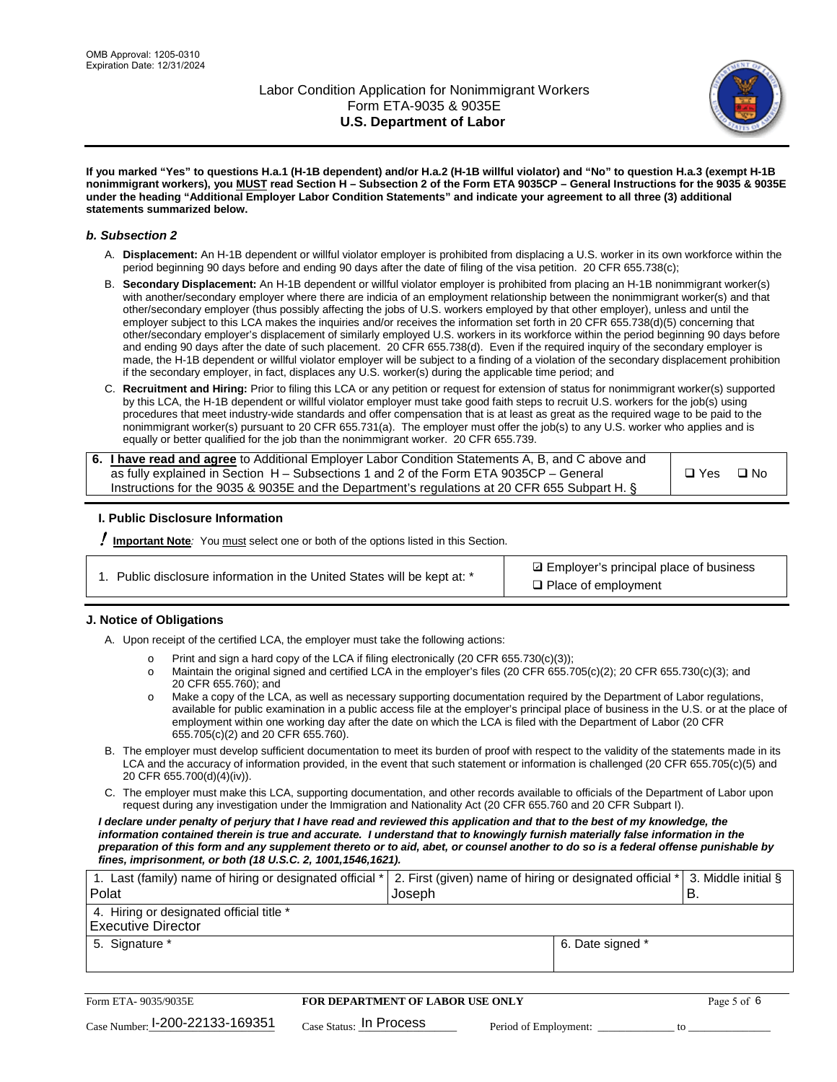

**If you marked "Yes" to questions H.a.1 (H-1B dependent) and/or H.a.2 (H-1B willful violator) and "No" to question H.a.3 (exempt H-1B nonimmigrant workers), you MUST read Section H – Subsection 2 of the Form ETA 9035CP – General Instructions for the 9035 & 9035E under the heading "Additional Employer Labor Condition Statements" and indicate your agreement to all three (3) additional statements summarized below.**

#### *b. Subsection 2*

- A. **Displacement:** An H-1B dependent or willful violator employer is prohibited from displacing a U.S. worker in its own workforce within the period beginning 90 days before and ending 90 days after the date of filing of the visa petition. 20 CFR 655.738(c);
- B. **Secondary Displacement:** An H-1B dependent or willful violator employer is prohibited from placing an H-1B nonimmigrant worker(s) with another/secondary employer where there are indicia of an employment relationship between the nonimmigrant worker(s) and that other/secondary employer (thus possibly affecting the jobs of U.S. workers employed by that other employer), unless and until the employer subject to this LCA makes the inquiries and/or receives the information set forth in 20 CFR 655.738(d)(5) concerning that other/secondary employer's displacement of similarly employed U.S. workers in its workforce within the period beginning 90 days before and ending 90 days after the date of such placement. 20 CFR 655.738(d). Even if the required inquiry of the secondary employer is made, the H-1B dependent or willful violator employer will be subject to a finding of a violation of the secondary displacement prohibition if the secondary employer, in fact, displaces any U.S. worker(s) during the applicable time period; and
- C. **Recruitment and Hiring:** Prior to filing this LCA or any petition or request for extension of status for nonimmigrant worker(s) supported by this LCA, the H-1B dependent or willful violator employer must take good faith steps to recruit U.S. workers for the job(s) using procedures that meet industry-wide standards and offer compensation that is at least as great as the required wage to be paid to the nonimmigrant worker(s) pursuant to 20 CFR 655.731(a). The employer must offer the job(s) to any U.S. worker who applies and is equally or better qualified for the job than the nonimmigrant worker. 20 CFR 655.739.

| 6. I have read and agree to Additional Employer Labor Condition Statements A, B, and C above and |         |           |
|--------------------------------------------------------------------------------------------------|---------|-----------|
| as fully explained in Section H – Subsections 1 and 2 of the Form ETA 9035CP – General           | l □ Yes | $\Box$ No |
| Instructions for the 9035 & 9035E and the Department's regulations at 20 CFR 655 Subpart H. §    |         |           |

### **I. Public Disclosure Information**

! **Important Note***:* You must select one or both of the options listed in this Section.

| 1. Public disclosure information in the United States will be kept at: * |  |  |  |  |  |  |  |
|--------------------------------------------------------------------------|--|--|--|--|--|--|--|
|--------------------------------------------------------------------------|--|--|--|--|--|--|--|

**sqrt** Employer's principal place of business □ Place of employment

### **J. Notice of Obligations**

A. Upon receipt of the certified LCA, the employer must take the following actions:

- o Print and sign a hard copy of the LCA if filing electronically (20 CFR 655.730(c)(3));<br>
Maintain the original signed and certified LCA in the employer's files (20 CFR 655.7
- Maintain the original signed and certified LCA in the employer's files (20 CFR 655.705(c)(2); 20 CFR 655.730(c)(3); and 20 CFR 655.760); and
- o Make a copy of the LCA, as well as necessary supporting documentation required by the Department of Labor regulations, available for public examination in a public access file at the employer's principal place of business in the U.S. or at the place of employment within one working day after the date on which the LCA is filed with the Department of Labor (20 CFR 655.705(c)(2) and 20 CFR 655.760).
- B. The employer must develop sufficient documentation to meet its burden of proof with respect to the validity of the statements made in its LCA and the accuracy of information provided, in the event that such statement or information is challenged (20 CFR 655.705(c)(5) and 20 CFR 655.700(d)(4)(iv)).
- C. The employer must make this LCA, supporting documentation, and other records available to officials of the Department of Labor upon request during any investigation under the Immigration and Nationality Act (20 CFR 655.760 and 20 CFR Subpart I).

*I declare under penalty of perjury that I have read and reviewed this application and that to the best of my knowledge, the*  information contained therein is true and accurate. I understand that to knowingly furnish materially false information in the *preparation of this form and any supplement thereto or to aid, abet, or counsel another to do so is a federal offense punishable by fines, imprisonment, or both (18 U.S.C. 2, 1001,1546,1621).*

| 1. Last (family) name of hiring or designated official * <br><b>Polat</b> | 2. First (given) name of hiring or designated official $*$ 3. Middle initial §<br>Joseph |                  | ΈВ. |
|---------------------------------------------------------------------------|------------------------------------------------------------------------------------------|------------------|-----|
| 4. Hiring or designated official title *<br><b>Executive Director</b>     |                                                                                          |                  |     |
| 5. Signature *                                                            |                                                                                          | 6. Date signed * |     |